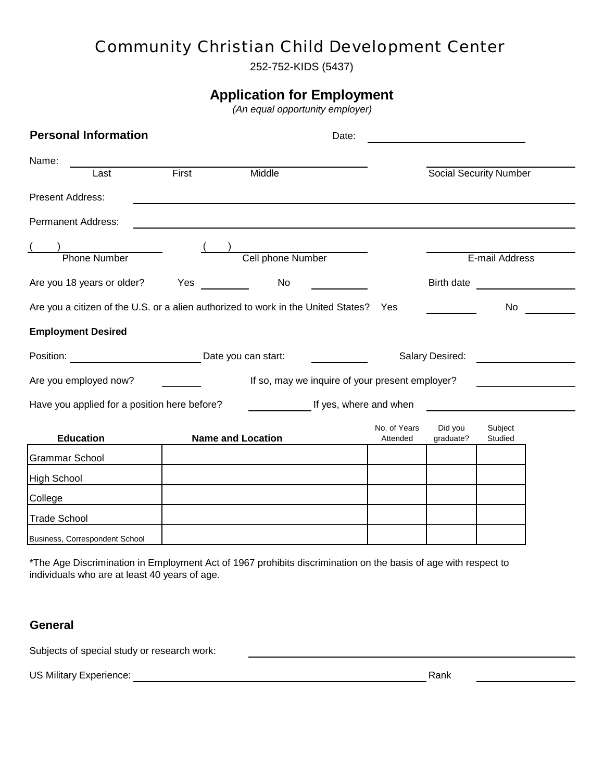# *Community Christian Child Development Center*

252-752-KIDS (5437)

### **Application for Employment**

 *(An equal opportunity employer)*

| <b>Personal Information</b>                                                       |                                                                                                                                                                                                                                     |                          | Date:                  |                          |                               |                    |  |
|-----------------------------------------------------------------------------------|-------------------------------------------------------------------------------------------------------------------------------------------------------------------------------------------------------------------------------------|--------------------------|------------------------|--------------------------|-------------------------------|--------------------|--|
| Name:<br>Last                                                                     | First                                                                                                                                                                                                                               | Middle                   |                        |                          | <b>Social Security Number</b> |                    |  |
| Present Address:                                                                  |                                                                                                                                                                                                                                     |                          |                        |                          |                               |                    |  |
|                                                                                   |                                                                                                                                                                                                                                     |                          |                        |                          |                               |                    |  |
| <b>Permanent Address:</b>                                                         |                                                                                                                                                                                                                                     |                          |                        |                          |                               |                    |  |
| <b>Phone Number</b>                                                               |                                                                                                                                                                                                                                     | Cell phone Number        |                        |                          |                               | E-mail Address     |  |
| Are you 18 years or older?                                                        | <b>Yes</b> and the set of the set of the set of the set of the set of the set of the set of the set of the set of the set of the set of the set of the set of the set of the set of the set of the set of the set of the set of the | No                       |                        |                          | Birth date                    |                    |  |
| Are you a citizen of the U.S. or a alien authorized to work in the United States? |                                                                                                                                                                                                                                     |                          |                        | Yes                      |                               | No                 |  |
| <b>Employment Desired</b>                                                         |                                                                                                                                                                                                                                     |                          |                        |                          |                               |                    |  |
|                                                                                   | Position: Date you can start:                                                                                                                                                                                                       |                          |                        |                          | Salary Desired:               |                    |  |
| Are you employed now?                                                             | If so, may we inquire of your present employer?                                                                                                                                                                                     |                          |                        |                          |                               |                    |  |
| Have you applied for a position here before?                                      |                                                                                                                                                                                                                                     |                          | If yes, where and when |                          |                               |                    |  |
| <b>Education</b>                                                                  |                                                                                                                                                                                                                                     | <b>Name and Location</b> |                        | No. of Years<br>Attended | Did you<br>graduate?          | Subject<br>Studied |  |
| Grammar School                                                                    |                                                                                                                                                                                                                                     |                          |                        |                          |                               |                    |  |
| High School                                                                       |                                                                                                                                                                                                                                     |                          |                        |                          |                               |                    |  |
| College                                                                           |                                                                                                                                                                                                                                     |                          |                        |                          |                               |                    |  |
| <b>Trade School</b>                                                               |                                                                                                                                                                                                                                     |                          |                        |                          |                               |                    |  |
| Business, Correspondent School                                                    |                                                                                                                                                                                                                                     |                          |                        |                          |                               |                    |  |

\*The Age Discrimination in Employment Act of 1967 prohibits discrimination on the basis of age with respect to individuals who are at least 40 years of age.

#### **General**

Subjects of special study or research work:

US Military Experience: <u>Conserver Communications</u> Rank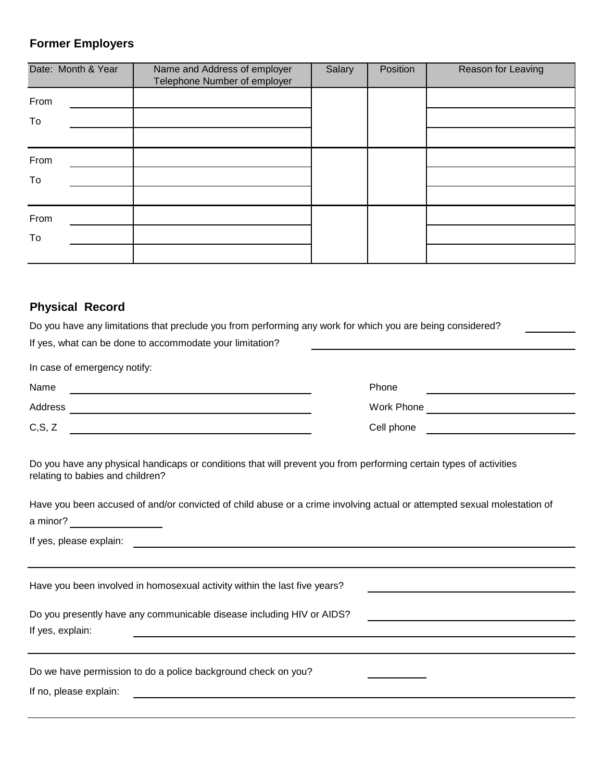## **Former Employers**

| Date: Month & Year | Name and Address of employer<br>Telephone Number of employer | Salary | Position | Reason for Leaving |
|--------------------|--------------------------------------------------------------|--------|----------|--------------------|
| From               |                                                              |        |          |                    |
| To                 |                                                              |        |          |                    |
|                    |                                                              |        |          |                    |
| From               |                                                              |        |          |                    |
| To                 |                                                              |        |          |                    |
|                    |                                                              |        |          |                    |
| From               |                                                              |        |          |                    |
| To                 |                                                              |        |          |                    |
|                    |                                                              |        |          |                    |

## **Physical Record**

| Do you have any limitations that preclude you from performing any work for which you are being considered?                                                                                                                           |                                                                                                                                                                                                                                      |  |  |  |  |  |  |  |  |
|--------------------------------------------------------------------------------------------------------------------------------------------------------------------------------------------------------------------------------------|--------------------------------------------------------------------------------------------------------------------------------------------------------------------------------------------------------------------------------------|--|--|--|--|--|--|--|--|
| If yes, what can be done to accommodate your limitation?                                                                                                                                                                             |                                                                                                                                                                                                                                      |  |  |  |  |  |  |  |  |
| In case of emergency notify:                                                                                                                                                                                                         |                                                                                                                                                                                                                                      |  |  |  |  |  |  |  |  |
| Name                                                                                                                                                                                                                                 | Phone                                                                                                                                                                                                                                |  |  |  |  |  |  |  |  |
|                                                                                                                                                                                                                                      |                                                                                                                                                                                                                                      |  |  |  |  |  |  |  |  |
| C, S, Z                                                                                                                                                                                                                              | Cell phone <u>expression and the set of the set of the set of the set of the set of the set of the set of the set of the set of the set of the set of the set of the set of the set of the set of the set of the set of the set </u> |  |  |  |  |  |  |  |  |
| Do you have any physical handicaps or conditions that will prevent you from performing certain types of activities<br>relating to babies and children?                                                                               |                                                                                                                                                                                                                                      |  |  |  |  |  |  |  |  |
| Have you been accused of and/or convicted of child abuse or a crime involving actual or attempted sexual molestation of<br>a minor? ____________________                                                                             |                                                                                                                                                                                                                                      |  |  |  |  |  |  |  |  |
| If yes, please explain: <u>contract the contract of the set of the contract of the contract of the contract of the contract of the contract of the contract of the contract of the contract of the contract of the contract of t</u> |                                                                                                                                                                                                                                      |  |  |  |  |  |  |  |  |
| Have you been involved in homosexual activity within the last five years?<br>Do you presently have any communicable disease including HIV or AIDS?                                                                                   |                                                                                                                                                                                                                                      |  |  |  |  |  |  |  |  |
| If yes, explain:                                                                                                                                                                                                                     |                                                                                                                                                                                                                                      |  |  |  |  |  |  |  |  |
| Do we have permission to do a police background check on you?                                                                                                                                                                        |                                                                                                                                                                                                                                      |  |  |  |  |  |  |  |  |
| If no, please explain:                                                                                                                                                                                                               |                                                                                                                                                                                                                                      |  |  |  |  |  |  |  |  |